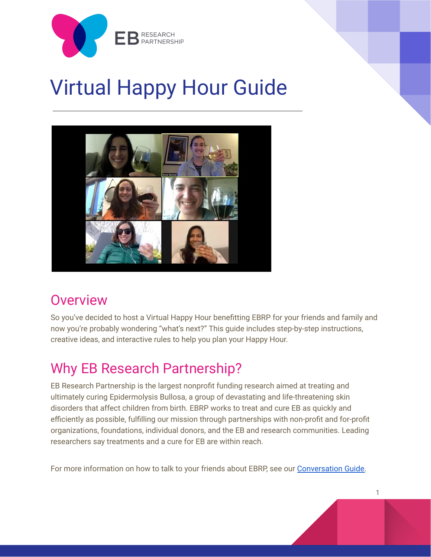

# Virtual Happy Hour Guide



# **Overview**

So you've decided to host a Virtual Happy Hour benefitting EBRP for your friends and family and now you're probably wondering "what's next?" This guide includes step-by-step instructions, creative ideas, and interactive rules to help you plan your Happy Hour.

# Why EB Research Partnership?

EB Research Partnership is the largest nonprofit funding research aimed at treating and ultimately curing Epidermolysis Bullosa, a group of devastating and life-threatening skin disorders that affect children from birth. EBRP works to treat and cure EB as quickly and efficiently as possible, fulfilling our mission through partnerships with non-profit and for-profit organizations, foundations, individual donors, and the EB and research communities. Leading researchers say treatments and a cure for EB are within reach.

For more information on how to talk to your friends about EBRP, see our [Conversation](https://docs.google.com/document/d/1lqoRg-3GTlp2w33gmQslCKbAyrYAz096wyDo2mBcM6U/edit?usp=sharing) Guide.

1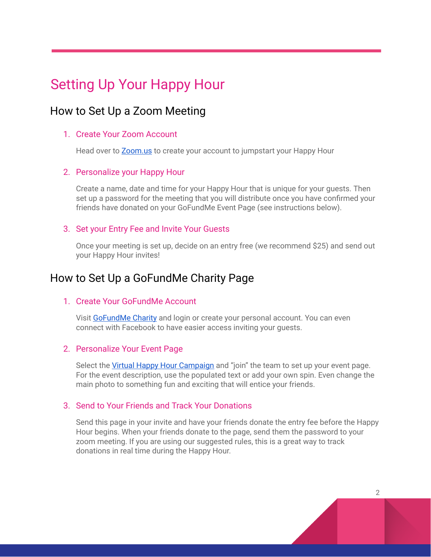# Setting Up Your Happy Hour

### How to Set Up a Zoom Meeting

### 1. Create Your Zoom Account

Head over to **[Zoom.us](https://zoom.us/)** to create your account to jumpstart your Happy Hour

### 2. Personalize your Happy Hour

Create a name, date and time for your Happy Hour that is unique for your guests. Then set up a password for the meeting that you will distribute once you have confirmed your friends have donated on your GoFundMe Event Page (see instructions below).

### 3. Set your Entry Fee and Invite Your Guests

Once your meeting is set up, decide on an entry free (we recommend \$25) and send out your Happy Hour invites!

### How to Set Up a GoFundMe Charity Page

#### 1. Create Your GoFundMe Account

Visit [GoFundMe](http://charity.gofundme.com/) Charity and login or create your personal account. You can even connect with Facebook to have easier access inviting your guests.

#### 2. Personalize Your Event Page

Select the Virtual Happy Hour [Campaign](https://charity.gofundme.com/o/en/campaign/virtual-happy-hour-to-healeb) and "join" the team to set up your event page. For the event description, use the populated text or add your own spin. Even change the main photo to something fun and exciting that will entice your friends.

#### 3. Send to Your Friends and Track Your Donations

Send this page in your invite and have your friends donate the entry fee before the Happy Hour begins. When your friends donate to the page, send them the password to your zoom meeting. If you are using our suggested rules, this is a great way to track donations in real time during the Happy Hour.

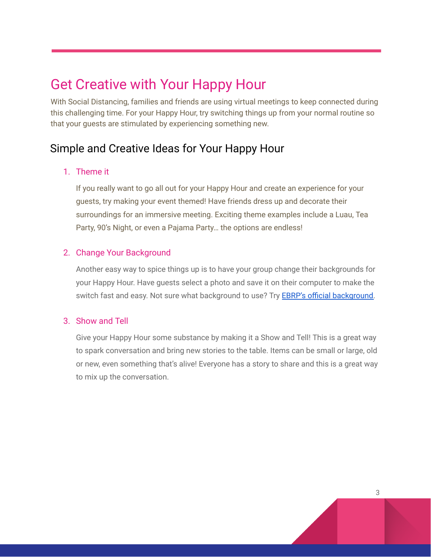# Get Creative with Your Happy Hour

With Social Distancing, families and friends are using virtual meetings to keep connected during this challenging time. For your Happy Hour, try switching things up from your normal routine so that your guests are stimulated by experiencing something new.

### Simple and Creative Ideas for Your Happy Hour

### 1. Theme it

If you really want to go all out for your Happy Hour and create an experience for your guests, try making your event themed! Have friends dress up and decorate their surroundings for an immersive meeting. Exciting theme examples include a Luau, Tea Party, 90's Night, or even a Pajama Party… the options are endless!

### 2. Change Your Background

Another easy way to spice things up is to have your group change their backgrounds for your Happy Hour. Have guests select a photo and save it on their computer to make the switch fast and easy. Not sure what [background](https://drive.google.com/open?id=1yQx-lC4NtDJkFj77Wt_dJf7PkQ7P6H5v) to use? Try **EBRP's official background**.

### 3. Show and Tell

Give your Happy Hour some substance by making it a Show and Tell! This is a great way to spark conversation and bring new stories to the table. Items can be small or large, old or new, even something that's alive! Everyone has a story to share and this is a great way to mix up the conversation.